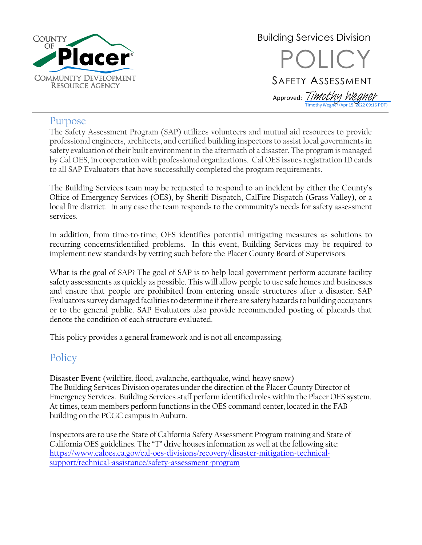

Building Services Division **OLICY** SAFETY ASSESSMENT Approved: *[Timothy Wegner](https://na4.documents.adobe.com/verifier?tx=CBJCHBCAABAA37F0iJKqEccJLMvpWhPN0sc09mIF9aKA)* Timothy Wegner (Apr 15, 2022 09:16 PDT)

### Purpose

The Safety Assessment Program (SAP) utilizes volunteers and mutual aid resources to provide professional engineers, architects, and certified building inspectors to assist local governments in safety evaluation of their built environment in the aftermath of a disaster. The program is managed by Cal OES, in cooperation with professional organizations. Cal OES issues registration ID cards to all SAP Evaluators that have successfully completed the program requirements.

The Building Services team may be requested to respond to an incident by either the County's Office of Emergency Services (OES), by Sheriff Dispatch, CalFire Dispatch (Grass Valley), or a local fire district. In any case the team responds to the community's needs for safety assessment services.

In addition, from time-to-time, OES identifies potential mitigating measures as solutions to recurring concerns/identified problems. In this event, Building Services may be required to implement new standards by vetting such before the Placer County Board of Supervisors.

What is the goal of SAP? The goal of SAP is to help local government perform accurate facility safety assessments as quickly as possible. This will allow people to use safe homes and businesses and ensure that people are prohibited from entering unsafe structures after a disaster. SAP Evaluators survey damaged facilities to determine if there are safety hazards to building occupants or to the general public. SAP Evaluators also provide recommended posting of placards that denote the condition of each structure evaluated.

This policy provides a general framework and is not all encompassing.

# **Policy**

**Disaster Event** (wildfire, flood, avalanche, earthquake, wind, heavy snow) The Building Services Division operates under the direction of the Placer County Director of Emergency Services. Building Services staff perform identified roles within the Placer OES system. At times, team members perform functions in the OES command center, located in the FAB building on the PCGC campus in Auburn.

Inspectors are to use the State of California Safety Assessment Program training and State of California OES guidelines. The "T" drive housesinformation as well at the following site: [https://www.caloes.ca.gov/cal-oes-divisions/recovery/disaster-mitigation-technical](https://www.caloes.ca.gov/cal-oes-divisions/recovery/disaster-mitigation-technical-support/technical-assistance/safety-assessment-program)[support/technical-assistance/safety-assessment-program](https://www.caloes.ca.gov/cal-oes-divisions/recovery/disaster-mitigation-technical-support/technical-assistance/safety-assessment-program)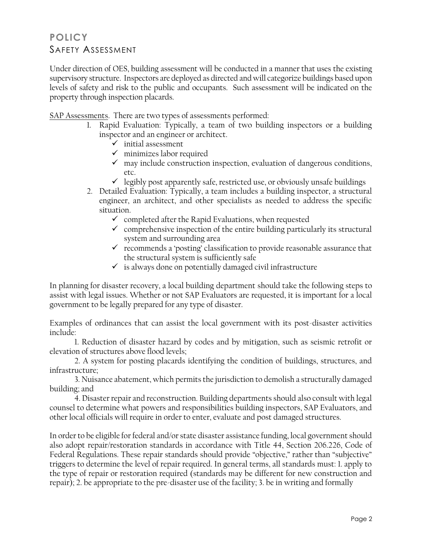# **POLICY** SAFETY ASSESSMENT

Under direction of OES, building assessment will be conducted in a manner that uses the existing supervisory structure. Inspectors are deployed as directed and will categorize buildings based upon levels of safety and risk to the public and occupants. Such assessment will be indicated on the property through inspection placards.

SAP Assessments. There are two types of assessments performed:

- 1. Rapid Evaluation: Typically, a team of two building inspectors or a building inspector and an engineer or architect.
	- $\checkmark$  initial assessment
	- $\checkmark$  minimizes labor required
	- ✓ may include construction inspection, evaluation of dangerous conditions, etc.
	- $\checkmark$  legibly post apparently safe, restricted use, or obviously unsafe buildings
- 2. Detailed Evaluation: Typically, a team includes a building inspector, a structural engineer, an architect, and other specialists as needed to address the specific situation.
	- $\checkmark$  completed after the Rapid Evaluations, when requested
	- $\checkmark$  comprehensive inspection of the entire building particularly its structural system and surrounding area
	- $\checkmark$  recommends a 'posting' classification to provide reasonable assurance that the structural system is sufficiently safe
	- $\checkmark$  is always done on potentially damaged civil infrastructure

In planning for disaster recovery, a local building department should take the following steps to assist with legal issues. Whether or not SAP Evaluators are requested, it is important for a local government to be legally prepared for any type of disaster.

Examples of ordinances that can assist the local government with its post-disaster activities include:

1. Reduction of disaster hazard by codes and by mitigation, such as seismic retrofit or elevation of structures above flood levels;

2. A system for posting placards identifying the condition of buildings, structures, and infrastructure;

3. Nuisance abatement, which permits the jurisdiction to demolish a structurally damaged building; and

4. Disaster repair and reconstruction. Building departments should also consult with legal counsel to determine what powers and responsibilities building inspectors, SAP Evaluators, and other local officials will require in order to enter, evaluate and post damaged structures.

In order to be eligible for federal and/or state disaster assistance funding, local government should also adopt repair/restoration standards in accordance with Title 44, Section 206.226, Code of Federal Regulations. These repair standards should provide "objective," rather than "subjective" triggers to determine the level of repair required. In general terms, all standards must: 1. apply to the type of repair or restoration required (standards may be different for new construction and repair); 2. be appropriate to the pre-disaster use of the facility; 3. be in writing and formally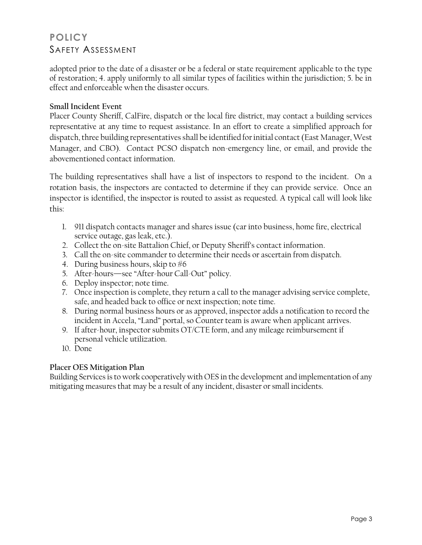# **POLICY** SAFETY ASSESSMENT

adopted prior to the date of a disaster or be a federal or state requirement applicable to the type of restoration; 4. apply uniformly to all similar types of facilities within the jurisdiction; 5. be in effect and enforceable when the disaster occurs.

#### **Small Incident Event**

Placer County Sheriff, CalFire, dispatch or the local fire district, may contact a building services representative at any time to request assistance. In an effort to create a simplified approach for dispatch, three building representatives shall be identified for initial contact (East Manager, West Manager, and CBO). Contact PCSO dispatch non-emergency line, or email, and provide the abovementioned contact information.

The building representatives shall have a list of inspectors to respond to the incident. On a rotation basis, the inspectors are contacted to determine if they can provide service. Once an inspector is identified, the inspector is routed to assist as requested. A typical call will look like this:

- 1. 911 dispatch contacts manager and shares issue (car into business, home fire, electrical service outage, gas leak, etc.).
- 2. Collect the on-site Battalion Chief, or Deputy Sheriff's contact information.
- 3. Call the on-site commander to determine their needs or ascertain from dispatch.
- 4. During business hours, skip to  $#6$
- 5. After-hours—see "After-hour Call-Out" policy.
- 6. Deploy inspector; note time.
- 7. Once inspection is complete, they return a call to the manager advising service complete, safe, and headed back to office or next inspection; note time.
- 8. During normal business hours or as approved, inspector adds a notification to record the incident in Accela, "Land" portal, so Counter team is aware when applicant arrives.
- 9. If after-hour, inspector submits OT/CTE form, and any mileage reimbursement if personal vehicle utilization.
- 10. Done

#### **Placer OES Mitigation Plan**

Building Services is to work cooperatively with OES in the development and implementation of any mitigating measures that may be a result of any incident, disaster or small incidents.